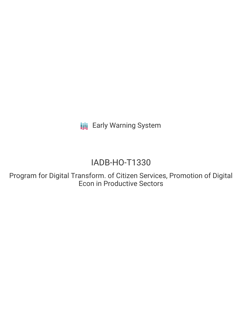**III** Early Warning System

# IADB-HO-T1330

Program for Digital Transform. of Citizen Services, Promotion of Digital Econ in Productive Sectors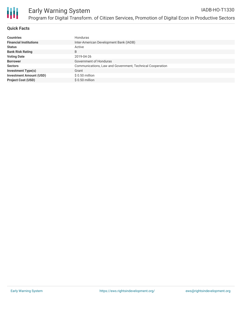

## **Quick Facts**

| <b>Countries</b>               | <b>Honduras</b>                                           |
|--------------------------------|-----------------------------------------------------------|
| <b>Financial Institutions</b>  | Inter-American Development Bank (IADB)                    |
| <b>Status</b>                  | Active                                                    |
| <b>Bank Risk Rating</b>        | B                                                         |
| <b>Voting Date</b>             | 2019-04-26                                                |
| <b>Borrower</b>                | Government of Honduras                                    |
| <b>Sectors</b>                 | Communications, Law and Government, Technical Cooperation |
| <b>Investment Type(s)</b>      | Grant                                                     |
| <b>Investment Amount (USD)</b> | \$ 0.50 million                                           |
| <b>Project Cost (USD)</b>      | $$0.50$ million                                           |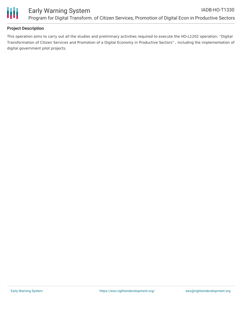

## **Project Description**

This operation aims to carry out all the studies and preliminary activities required to execute the HO-L1202 operation: "Digital Transformation of Citizen Services and Promotion of a Digital Economy in Productive Sectors" , including the implementation of digital government pilot projects.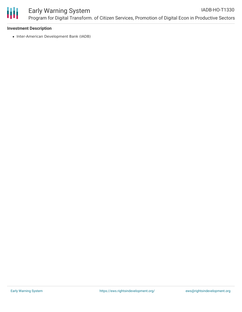

#### **Investment Description**

• Inter-American Development Bank (IADB)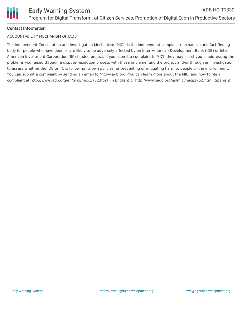# **Contact Information**

#### ACCOUNTABILITY MECHANISM OF IADB

The Independent Consultation and Investigation Mechanism (MICI) is the independent complaint mechanism and fact-finding body for people who have been or are likely to be adversely affected by an Inter-American Development Bank (IDB) or Inter-American Investment Corporation (IIC)-funded project. If you submit a complaint to MICI, they may assist you in addressing the problems you raised through a dispute-resolution process with those implementing the project and/or through an investigation to assess whether the IDB or IIC is following its own policies for preventing or mitigating harm to people or the environment. You can submit a complaint by sending an email to MICI@iadb.org. You can learn more about the MICI and how to file a complaint at http://www.iadb.org/en/mici/mici,1752.html (in English) or http://www.iadb.org/es/mici/mici,1752.html (Spanish).